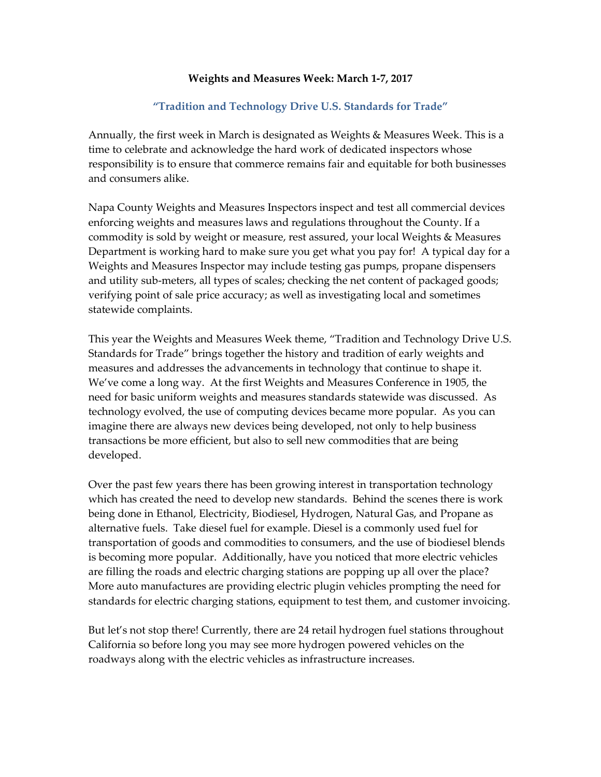## **Weights and Measures Week: March 1-7, 2017**

## **"Tradition and Technology Drive U.S. Standards for Trade"**

Annually, the first week in March is designated as Weights & Measures Week. This is a time to celebrate and acknowledge the hard work of dedicated inspectors whose responsibility is to ensure that commerce remains fair and equitable for both businesses and consumers alike.

Napa County Weights and Measures Inspectors inspect and test all commercial devices enforcing weights and measures laws and regulations throughout the County. If a commodity is sold by weight or measure, rest assured, your local Weights & Measures Department is working hard to make sure you get what you pay for! A typical day for a Weights and Measures Inspector may include testing gas pumps, propane dispensers and utility sub-meters, all types of scales; checking the net content of packaged goods; verifying point of sale price accuracy; as well as investigating local and sometimes statewide complaints.

This year the Weights and Measures Week theme, "Tradition and Technology Drive U.S. Standards for Trade" brings together the history and tradition of early weights and measures and addresses the advancements in technology that continue to shape it. We've come a long way. At the first Weights and Measures Conference in 1905, the need for basic uniform weights and measures standards statewide was discussed. As technology evolved, the use of computing devices became more popular. As you can imagine there are always new devices being developed, not only to help business transactions be more efficient, but also to sell new commodities that are being developed.

Over the past few years there has been growing interest in transportation technology which has created the need to develop new standards. Behind the scenes there is work being done in Ethanol, Electricity, Biodiesel, Hydrogen, Natural Gas, and Propane as alternative fuels. Take diesel fuel for example. Diesel is a commonly used fuel for transportation of goods and commodities to consumers, and the use of biodiesel blends is becoming more popular. Additionally, have you noticed that more electric vehicles are filling the roads and electric charging stations are popping up all over the place? More auto manufactures are providing electric plugin vehicles prompting the need for standards for electric charging stations, equipment to test them, and customer invoicing.

But let's not stop there! Currently, there are 24 retail hydrogen fuel stations throughout California so before long you may see more hydrogen powered vehicles on the roadways along with the electric vehicles as infrastructure increases.